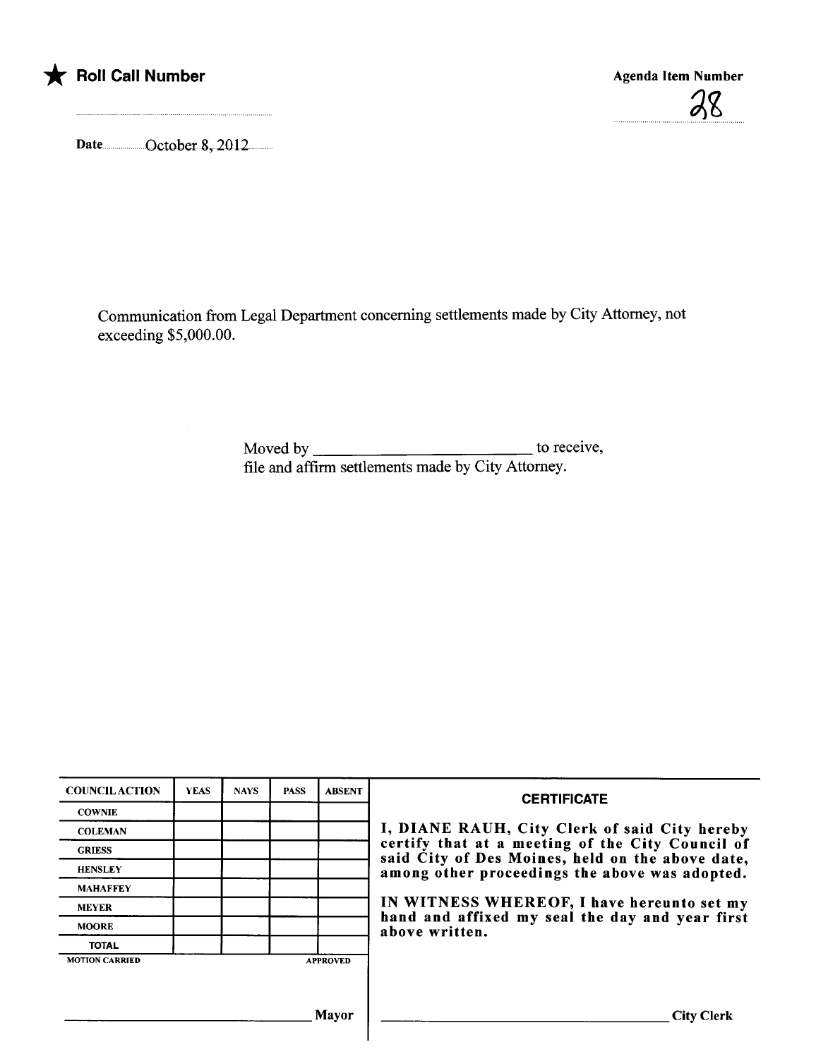

## \* Roll Call Number Agenda Item Number Agenda Item Number

28

Date ............ ..October8,2012....

Communication from Legal Deparment concerning settlements made by City Attorney, not exceeding \$5,000.00.

> Moved by to receive, fie and affirm settlements made by City Attorney.

| <b>COUNCILACTION</b>  | <b>YEAS</b> | <b>NAYS</b> | <b>PASS</b> | <b>ABSENT</b>   | <b>CERTIFICATE</b><br>I, DIANE RAUH, City Clerk of said City hereby<br>certify that at a meeting of the City Council of<br>said City of Des Moines, held on the above date,<br>among other proceedings the above was adopted. |  |
|-----------------------|-------------|-------------|-------------|-----------------|-------------------------------------------------------------------------------------------------------------------------------------------------------------------------------------------------------------------------------|--|
| <b>COWNIE</b>         |             |             |             |                 |                                                                                                                                                                                                                               |  |
| <b>COLEMAN</b>        |             |             |             |                 |                                                                                                                                                                                                                               |  |
| <b>GRIESS</b>         |             |             |             |                 |                                                                                                                                                                                                                               |  |
| <b>HENSLEY</b>        |             |             |             |                 |                                                                                                                                                                                                                               |  |
| <b>MAHAFFEY</b>       |             |             |             |                 |                                                                                                                                                                                                                               |  |
| <b>MEYER</b>          |             |             |             |                 | IN WITNESS WHEREOF, I have hereunto set my<br>hand and affixed my seal the day and year first<br>above written.                                                                                                               |  |
| <b>MOORE</b>          |             |             |             |                 |                                                                                                                                                                                                                               |  |
| <b>TOTAL</b>          |             |             |             |                 |                                                                                                                                                                                                                               |  |
| <b>MOTION CARRIED</b> |             |             |             | <b>APPROVED</b> |                                                                                                                                                                                                                               |  |
|                       |             |             |             |                 |                                                                                                                                                                                                                               |  |
|                       |             |             |             |                 |                                                                                                                                                                                                                               |  |
|                       |             |             |             | <b>Mayor</b>    | <b>City Clerk</b>                                                                                                                                                                                                             |  |
|                       |             |             |             |                 |                                                                                                                                                                                                                               |  |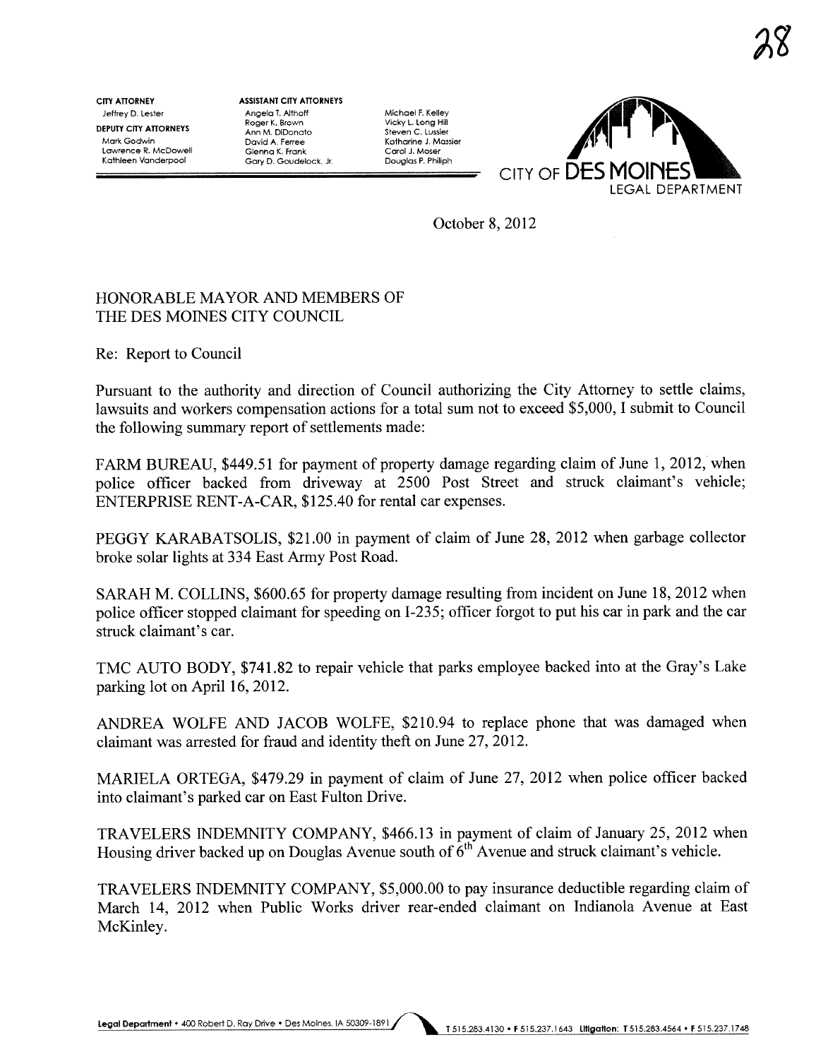CITY ATTORNEY Jeffey D. Lester DEPUTY CITY ATTORNEYS Mark Godwin Lawrence R. McDowell Kathleen Vanderpool

ASSISTANT CITY ATTORNEYS Angela T. Althoff Roger K. Brown Ann M. DiDonato David A. Ferree Glenna K. Frank Gary D. Goudelock. Jr.

Michael F. Kelley Vicky L. Long Hill<br>Steven C. Lussier Katharine J. Massier Carol J. Moser Douglas P. Philiph



October 8, 2012

## HONORABLE MAYOR AND MEMBERS OF THE DES MOINES CITY COUNCIL

Re: Report to Council

Pursuant to the authority and direction of Council authorizing the City Attorney to settle claims, lawsuits and workers compensation actions for a total sum not to exceed \$5,000, I submit to Council the following summary report of settlements made:

FARM BUREAU, \$449.51 for payment of property damage regarding claim of June 1,2012, when police officer backed from driveway at 2500 Post Street and struck claimant's vehicle; ENTERPRISE RENT-A-CAR, \$125.40 for rental car expenses.

PEGGY KARABATSOLIS, \$21.00 in payment of claim of June 28, 2012 when garbage collector broke solar lights at 334 East Army Post Road.

SARAH M. COLLINS, \$600.65 for property damage resulting from incident on June 18,2012 when police officer stopped claimant for speeding on 1-235; officer forgot to put his car in park and the car struck claimant's car.

TMC AUTO BODY, \$741.82 to repair vehicle that parks employee backed into at the Gray's Lake parking lot on April 16,2012.

ANDREA WOLFE AND JACOB WOLFE, \$210.94 to replace phone that was damaged when claimant was arrested for fraud and identity theft on June 27, 2012.

MARIELA ORTEGA, \$479.29 in payment of claim of June 27, 2012 when police officer backed into claimant's parked car on East Fulton Drive.

TRAVELERS INDEMNITY COMPANY, \$466.13 in payment of claim of January 25,2012 when Housing driver backed up on Douglas Avenue south of  $6<sup>th</sup>$  Avenue and struck claimant's vehicle.

TRAVELERS INDEMNITY COMPANY, \$5,000.00 to pay insurance deductible regarding claim of March 14, 2012 when Public Works driver rear-ended claimant on Indianola Avenue at East McKinley.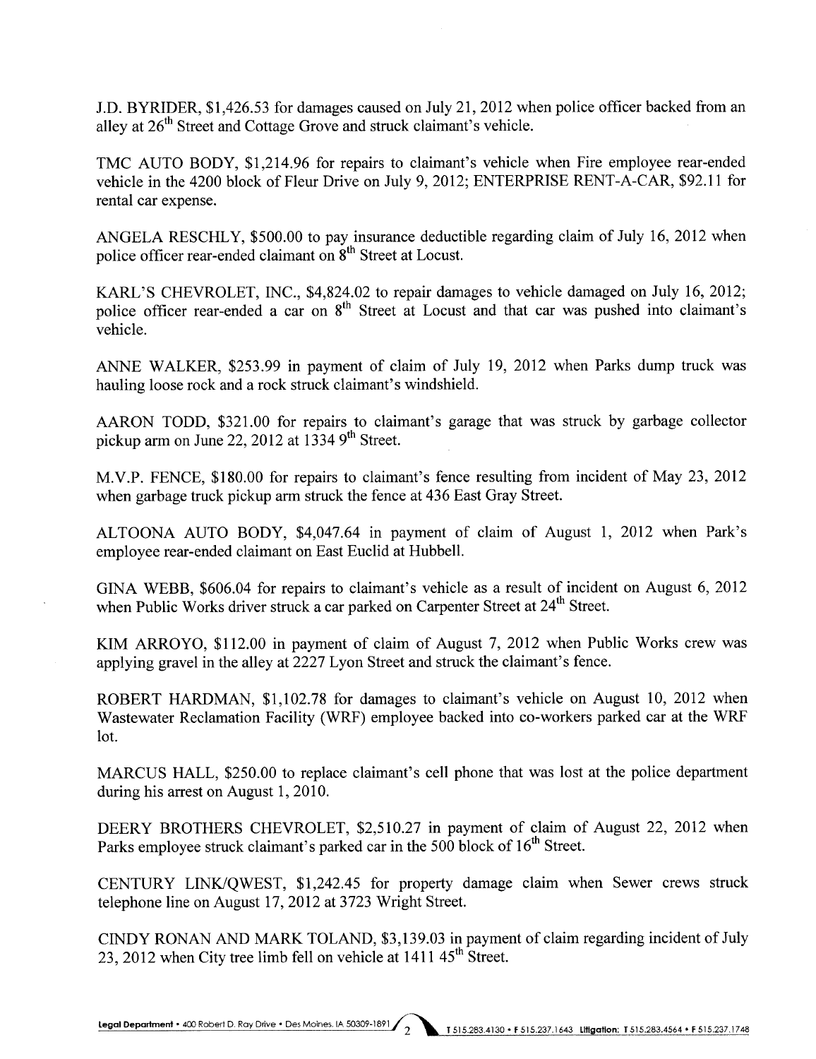J.D. BYRIDER, \$1,426.53 for damages caused on July 21,2012 when police officer backed from an alley at 26<sup>th</sup> Street and Cottage Grove and struck claimant's vehicle.

TMC AUTO BODY, \$1,214.96 for repairs to claimant's vehicle when Fire employee rear-ended vehicle in the 4200 block of Fleur Drive on July 9, 2012; ENTERPRISE RENT-A-CAR, \$92.11 for rental car expense.

ANGELA RESCHLY, \$500.00 to pay insurance deductible regarding claim of July 16, 2012 when police officer rear-ended claimant on  $8<sup>th</sup>$  Street at Locust.

KARL'S CHEVROLET, INC., \$4,824.02 to repair damages to vehicle damaged on July 16, 2012; police officer rear-ended a car on 8<sup>th</sup> Street at Locust and that car was pushed into claimant's vehicle.

ANNE WALKER, \$253.99 in payment of claim of July 19, 2012 when Parks dump truck was hauling loose rock and a rock struck claimant's windshield.

AARON TODD, \$321.00 for repairs to claimant's garage that was struck by garbage collector pickup arm on June 22, 2012 at  $1334$  9<sup>th</sup> Street.

M.V.P. FENCE, \$180.00 for repairs to claimant's fence resulting from incident of May 23, 2012 when garbage truck pickup arm struck the fence at 436 East Gray Street.

ALTOONA AUTO BODY, \$4,047.64 in payment of claim of August 1, 2012 when Park's employee rear-ended claimant on East Euclid at Hubbell.

GINA WEBB, \$606.04 for repairs to claimant's vehicle as a result of incident on August 6, 2012 when Public Works driver struck a car parked on Carpenter Street at 24<sup>th</sup> Street.

KIM ARROYO, \$112.00 in payment of claim of August 7, 2012 when Public Works crew was applying gravel in the alley at 2227 Lyon Street and struck the claimant's fence.

ROBERT HARDMAN, \$1,102.78 for damages to claimant's vehicle on August 10, 2012 when Wastewater Reclamation Facility (WRF) employee backed into co-workers parked car at the WRF lot.

MARCUS HALL, \$250.00 to replace claimant's cell phone that was lost at the police department during his arrest on August 1, 2010.

DEERY BROTHERS CHEVROLET, \$2,510.27 in payment of claim of August 22, 2012 when Parks employee struck claimant's parked car in the 500 block of 16<sup>th</sup> Street.

CENTURY LINK/QWEST, \$1,242.45 for property damage claim when Sewer crews struck telephone line on August 17,2012 at 3723 Wright Street.

CINDY RONAN AND MARK TOLAND, \$3,139.03 in payment of claim regarding incident of July 23, 2012 when City tree limb fell on vehicle at  $1411.45<sup>th</sup>$  Street.